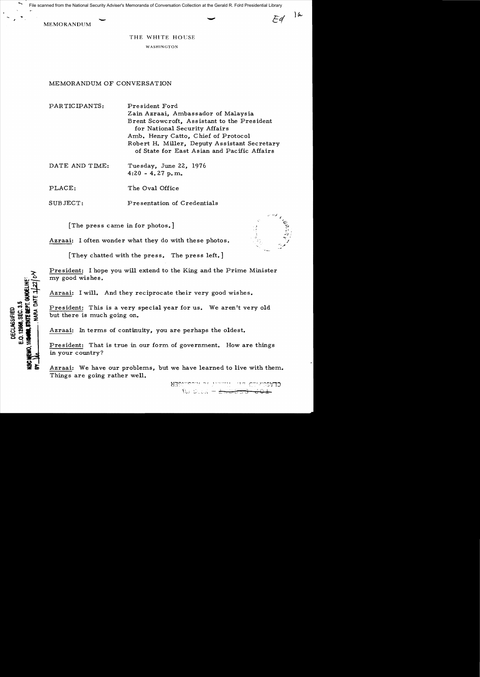MEMORANDUM File scanned from the National Security Adviser's Memoranda of Conversation Collection at the Gerald R. Ford Presidential Library

THE WHITE HOUSE

WASHINGTON

# MEMORANDUM OF CONVERSATION

PARTIC IPANTS: President Ford Zain Azraai, Ambassador of Malaysia Brent Scowcroft, Assistant to the President for National Security Affairs Amb. Henry Catto, Chief of Protocol Robert H. Miller, Deputy Assistant Secretary of State for East Asian and Pacific Affairs

| DATE AND TIME: | Tuesday, June 22, 1976 |  |
|----------------|------------------------|--|
|                | $4:20 - 4.27 p.m.$     |  |

PLACE: The Oval Office

SUBJECT: Presentation of Credentials

[The press came in for photos.]

Azraai: I often wonder what they do with these photos.

[They chatted with the press. The press left.]

President: I hope you will extend to the King and the Prime Minister my good wishes.

Azraai: I will. And they reciprocate their very good wishes.

President: This is a very special year for us. We aren't very old but there is much going on.

Azraai: In terms of continuity, you are perhaps the oldest.

President: That is true in our form of government. How are things in your country?

Azraai: We have our problems, but we have learned to live with them. Things are going rather well.

> **SECTION IN LITTLE**  $f(t)$  . See also  $-\frac{1}{2\pi}$

 $\mathcal{L}^{\prime}$  , , ,

i. •

 $\tau_{\gamma,\ell}$ 

12956.SEC.3.5 **ILE BEAL DECLASSIFIED** ن<br>آنا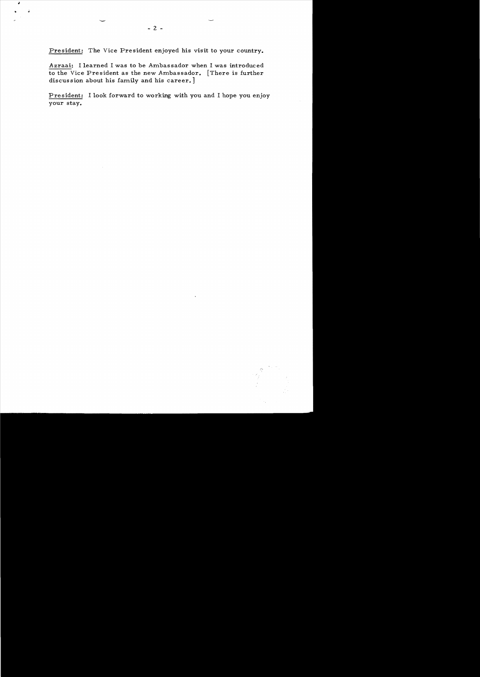President: The Vice President enjoyed his visit to your country.

Azraai: I learned I was to be Ambassador when I was introduced to the Vice President as the new Ambassador. [There is further discussion about his family and his career.]

President: I look forward to working with you and I hope you enjoy your stay.



j.

 $\ddot{•}$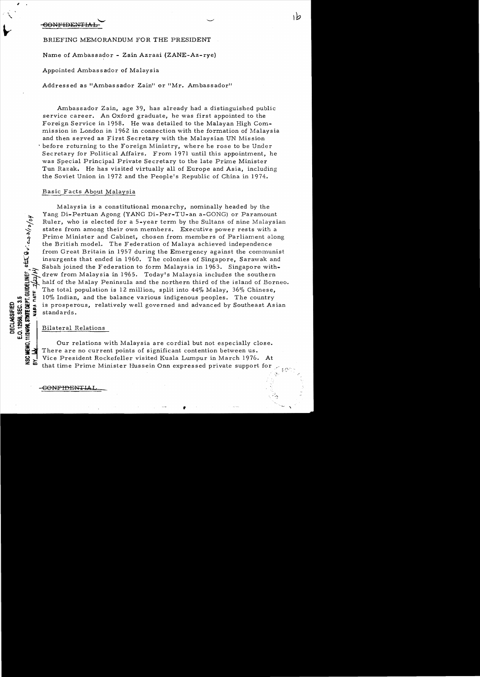.......... CONFIDENTIAL

BRIEFING MEMORANDUM FOR THE PRESIDENT

Name of Ambassador - Zain Azraai (ZANE-Az-rye)

Appointed Ambassador of Malaysia

Addressed as "Ambassador Zain" or "Mr. Ambassador"

Ambassador Zain, age 39, has already had a distinguished public service career. An Oxford graduate, he was first appointed to the Foreign Service in 1958. He was detailed to the Malayan High Commission in London in 1962 in connection with the formation of Malaysia and then served as First Secretary with the Malaysian UN Mis sion before returning to the Foreign Ministry, where he rose to be Under Secretary for Political Affairs. From 1971 until this appointment, he was Special Principal Private Secretary to the late Prime Minister Tun Razak. He has visited virtually all of Europe and Asia, including the Soviet Union in 1972 and the People's Republic of China in 1974.

۱b

## Basic Facts About Malaysia

Malaysia is a constitutional monarchy, nominally headed by the Yang Di-Pertuan Agong (YANG Di-Per-TU-an a-GONG) or Paramount Ruler, who is elected for a 5-year term by the Sultans of nine Malaysian states from among their own members. Executive power rests with a .<br>Prime Minister and Cabinet, chosen from members of Parliament along the British model. The Federation of Malaya achieved independence from Great Britain in 1957 during the Emergency against the communist insurgents that ended in 1960. The colonies of Singapore, Sarawak and Sabah joined the Federation to form Malaysia in 1963. Singapore withdrew from Malaysia in 1965. Today's Malaysia includes the southern half of the Malay Peninsula and the northern third of the island of Borneo. The total population is 12 million, split into 44% Malay, 36% Chinese, 10% Indian, and the balance various indigenous peoples. The country is prosperous, relatively well governed and advanced by Southeast Assessment and a ~ ~ ~ 10% Indian, and the balance various indigenous peoples. The country fa d <sup>~</sup><. is prosperous, relatively well governed and advanced by Southeast Asian U:~w\$ :::;:0 **.... """**  standards.

# $Bilateral$  Relations

 $\frac{1}{2}$ 

**o**<br>**8, SE<br><b>TATE** 

<u>는</u>

Our relations with Malaysia are cordial but not especially close. There are no current points of significant contention between us. Vice President Rockefeller visited Kuala Lumpur in March 1976. At that time Prime Minister Hussein Onn expressed private support for,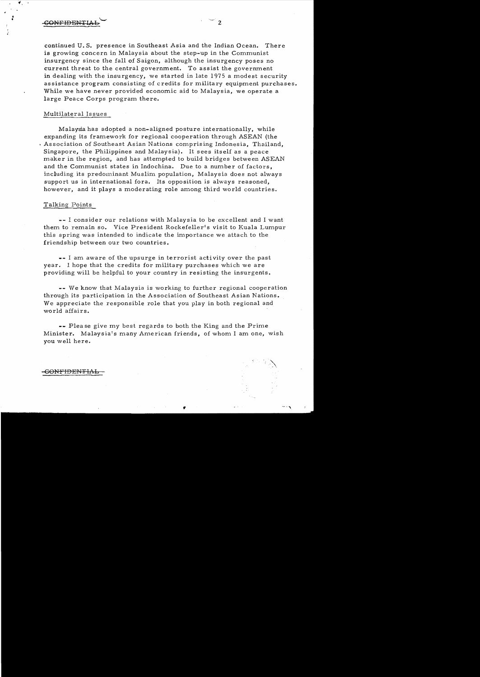$\overline{\text{GONFIDENTLAL}}$  2

• f

> continued U. S. presence in Southeast Asia and the Indian Ocean. There is growing concern in Malaysia about the step-up in the Communist insurgency since the fall of Saigon, although the insurgency poses no current threat to the central government. To assist the government in dealing with the insurgency, we started in late 1975 a modest security assistance program consisting of credits for military equipment purchases. While we have never provided economic aid to Malaysia, we operate a large Peace Corps program there.

#### Multilateral Is sues

Malaysia has adopted a non-aligned posture internationally, while expanding its framework for regional cooperation through ASEAN (the . Association of Southeast Asian Nations comprising Indonesia, Thailand, Singapore, the Philippines and Malaysia). It sees itself as a peace maker in the region, and has attempted to build bridges between ASEAN and the Communist states in Indochina. Due to a number of factors, including its predominant Muslim population, Malaysia does not always support us in international fora. Its opposition is always reasoned, however, and it plays a moderating role among third world countries.

### Talking Points

**--** I consider our relations with Malaysia to be excellent and I want them to remain so. Vice President Rockefeller's visit to Kuala Lumpur this spring was intended to indicate the importance we attach to the friendship between our two countries.

**--** I am aware of the upsurge in terrorist acti vity over the past year. I hope that the credits for military purchases which we are providing will be helpful to your country in resisting the insurgents.

**--** We know that Malaysia is working to further regional cooperation through its participation in the Association of Southeast Asian Nations. We appreciate the responsible role that you play in both regional and world affairs.

**--** Plea se give my best regards to both the King and the Prime Minister. Malaysia's many American friends, of whom I am one, wish you well here.

 $\mathcal{L}$ 

#### -GONFIDENTIAL